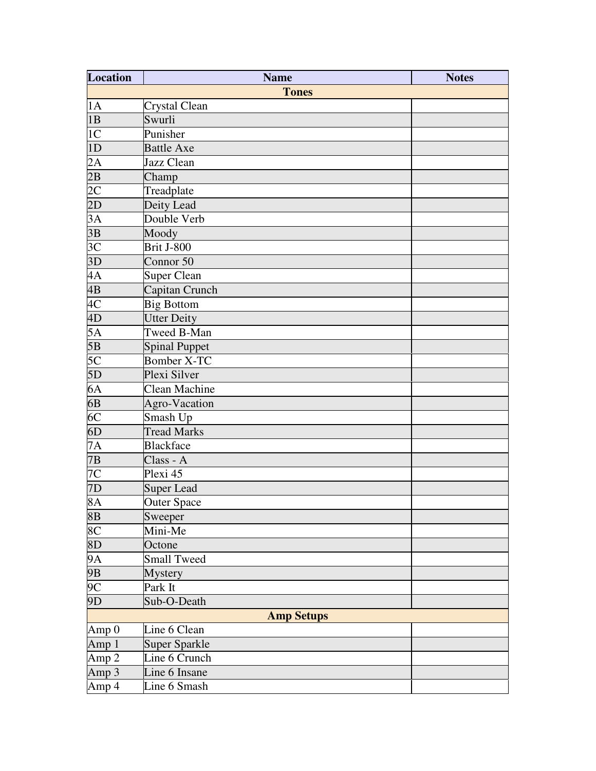| <b>Location</b>  | <b>Name</b>          |                   | <b>Notes</b> |
|------------------|----------------------|-------------------|--------------|
|                  |                      | <b>Tones</b>      |              |
| 1A               | Crystal Clean        |                   |              |
| 1B               | Swurli               |                   |              |
| 1 <sup>C</sup>   | Punisher             |                   |              |
| 1D               | <b>Battle Axe</b>    |                   |              |
| 2A               | Jazz Clean           |                   |              |
| $\overline{2B}$  | Champ                |                   |              |
|                  | Treadplate           |                   |              |
| $\frac{2C}{2D}$  | Deity Lead           |                   |              |
| $3\overline{A}$  | Double Verb          |                   |              |
| $\overline{3B}$  | Moody                |                   |              |
| 3 <sup>C</sup>   | <b>Brit J-800</b>    |                   |              |
| 3D               | Connor 50            |                   |              |
| 4A               | Super Clean          |                   |              |
| 4B               | Capitan Crunch       |                   |              |
|                  | <b>Big Bottom</b>    |                   |              |
| $\frac{4C}{4D}$  | <b>Utter Deity</b>   |                   |              |
| $5\overline{A}$  | Tweed B-Man          |                   |              |
| $\overline{5B}$  | <b>Spinal Puppet</b> |                   |              |
| 5 <sub>C</sub>   | <b>Bomber X-TC</b>   |                   |              |
| 5D               | Plexi Silver         |                   |              |
| $6\overline{A}$  | <b>Clean Machine</b> |                   |              |
| $\overline{6B}$  | Agro-Vacation        |                   |              |
| 6 <sup>C</sup>   | Smash Up             |                   |              |
| 6D               | <b>Tread Marks</b>   |                   |              |
| $\overline{7A}$  | <b>Blackface</b>     |                   |              |
| 7B               | Class - A            |                   |              |
| $\overline{7C}$  | Plexi 45             |                   |              |
| $\overline{7D}$  | <b>Super Lead</b>    |                   |              |
| 8A               | <b>Outer Space</b>   |                   |              |
| $\overline{8B}$  | Sweeper              |                   |              |
| 8 <sup>C</sup>   | Mini-Me              |                   |              |
| 8D               | Octone               |                   |              |
|                  | <b>Small Tweed</b>   |                   |              |
| $\frac{9A}{9B}$  | <b>Mystery</b>       |                   |              |
| $\overline{9C}$  | Park It              |                   |              |
| $\overline{9D}$  | Sub-O-Death          |                   |              |
|                  |                      | <b>Amp Setups</b> |              |
| Amp 0            | Line 6 Clean         |                   |              |
| Amp1             | <b>Super Sparkle</b> |                   |              |
| Amp <sub>2</sub> | Line 6 Crunch        |                   |              |
| Amp3             | Line 6 Insane        |                   |              |
| Amp 4            | Line 6 Smash         |                   |              |
|                  |                      |                   |              |